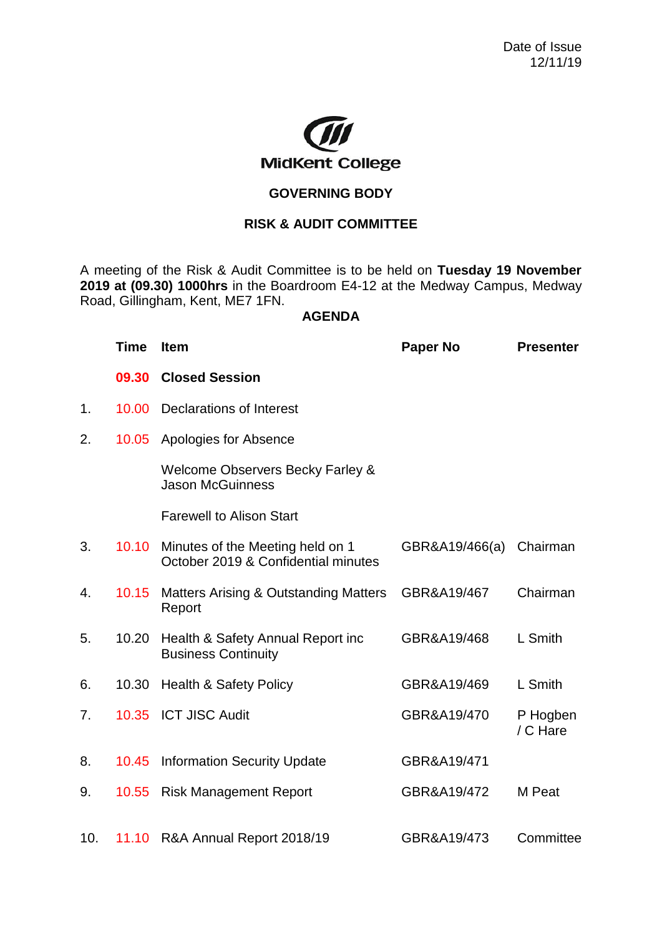

## **GOVERNING BODY**

## **RISK & AUDIT COMMITTEE**

A meeting of the Risk & Audit Committee is to be held on **Tuesday 19 November 2019 at (09.30) 1000hrs** in the Boardroom E4-12 at the Medway Campus, Medway Road, Gillingham, Kent, ME7 1FN.

## **AGENDA**

|     | <b>Time</b> | <b>Item</b>                                                             | <b>Paper No</b>         | <b>Presenter</b>     |
|-----|-------------|-------------------------------------------------------------------------|-------------------------|----------------------|
|     | 09.30       | <b>Closed Session</b>                                                   |                         |                      |
| 1.  | 10.00       | Declarations of Interest                                                |                         |                      |
| 2.  | 10.05       | Apologies for Absence                                                   |                         |                      |
|     |             | <b>Welcome Observers Becky Farley &amp;</b><br><b>Jason McGuinness</b>  |                         |                      |
|     |             | <b>Farewell to Alison Start</b>                                         |                         |                      |
| 3.  | 10.10       | Minutes of the Meeting held on 1<br>October 2019 & Confidential minutes | GBR&A19/466(a) Chairman |                      |
| 4.  | 10.15       | <b>Matters Arising &amp; Outstanding Matters</b><br>Report              | GBR&A19/467             | Chairman             |
| 5.  | 10.20       | Health & Safety Annual Report inc<br><b>Business Continuity</b>         | GBR&A19/468             | L Smith              |
| 6.  | 10.30       | <b>Health &amp; Safety Policy</b>                                       | GBR&A19/469             | L Smith              |
| 7.  |             | 10.35 ICT JISC Audit                                                    | GBR&A19/470             | P Hogben<br>/ C Hare |
| 8.  | 10.45       | <b>Information Security Update</b>                                      | GBR&A19/471             |                      |
| 9.  |             | 10.55 Risk Management Report                                            | GBR&A19/472             | M Peat               |
| 10. |             | 11.10 R&A Annual Report 2018/19                                         | GBR&A19/473             | Committee            |